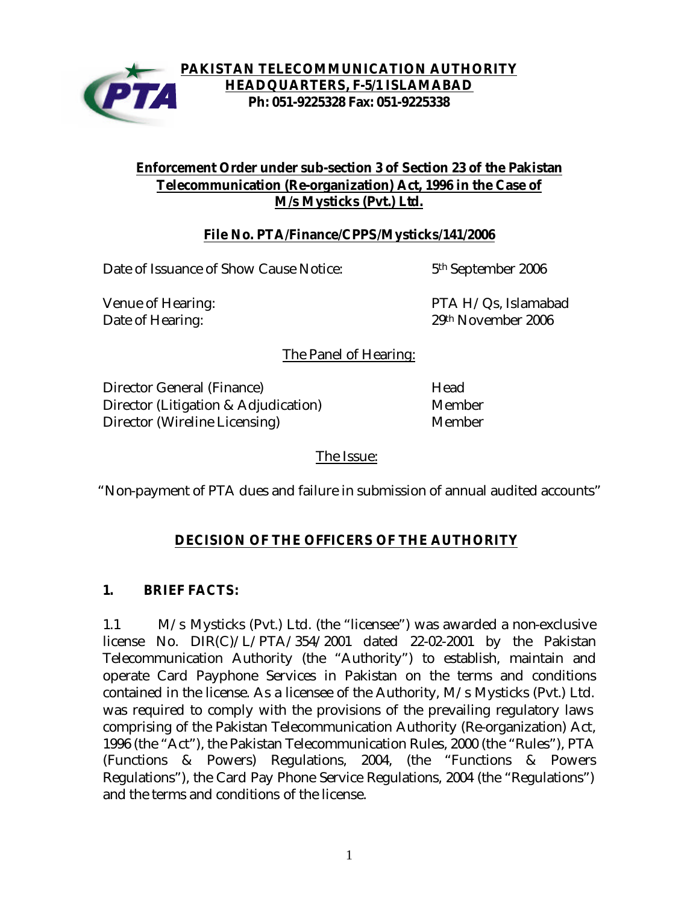

### **PAKISTAN TELECOMMUNICATION AUTHORITY HEADQUARTERS, F-5/1 ISLAMABAD Ph: 051-9225328 Fax: 051-9225338**

## **Enforcement Order under sub-section 3 of Section 23 of the Pakistan Telecommunication (Re-organization) Act, 1996 in the Case of M/s Mysticks (Pvt.) Ltd.**

# **File No. PTA/Finance/CPPS/Mysticks/141/2006**

Date of Issuance of Show Cause Notice: 5<sup>th</sup> September 2006

Venue of Hearing: PTA H/Qs, Islamabad Date of Hearing: 29th November 2006

The Panel of Hearing:

Director General (Finance) Head Director (Litigation & Adjudication) Member Director (Wireline Licensing) Member

The Issue:

"Non-payment of PTA dues and failure in submission of annual audited accounts"

# **DECISION OF THE OFFICERS OF THE AUTHORITY**

## **1. BRIEF FACTS:**

1.1 M/s Mysticks (Pvt.) Ltd. (the "licensee") was awarded a non-exclusive license No. DIR(C)/L/PTA/354/2001 dated 22-02-2001 by the Pakistan Telecommunication Authority (the "Authority") to establish, maintain and operate Card Payphone Services in Pakistan on the terms and conditions contained in the license. As a licensee of the Authority, M/s Mysticks (Pvt.) Ltd. was required to comply with the provisions of the prevailing regulatory laws comprising of the Pakistan Telecommunication Authority (Re-organization) Act, 1996 (the "Act"), the Pakistan Telecommunication Rules, 2000 (the "Rules"), PTA (Functions & Powers) Regulations, 2004, (the "Functions & Powers Regulations"), the Card Pay Phone Service Regulations, 2004 (the "Regulations") and the terms and conditions of the license.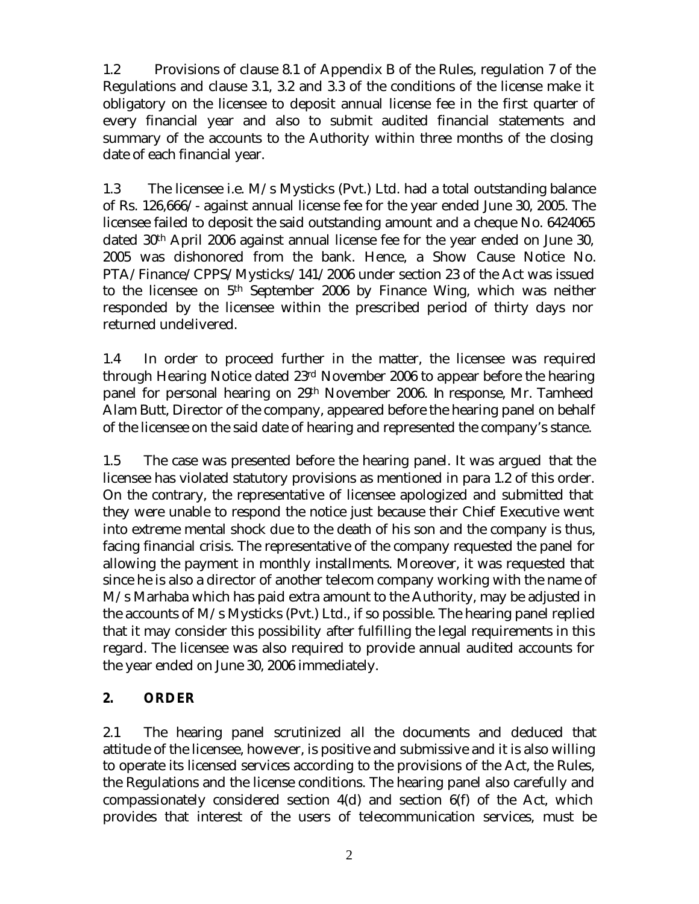1.2 Provisions of clause 8.1 of Appendix B of the Rules, regulation 7 of the Regulations and clause 3.1, 3.2 and 3.3 of the conditions of the license make it obligatory on the licensee to deposit annual license fee in the first quarter of every financial year and also to submit audited financial statements and summary of the accounts to the Authority within three months of the closing date of each financial year.

1.3 The licensee i.e. M/s Mysticks (Pvt.) Ltd. had a total outstanding balance of Rs. 126,666/- against annual license fee for the year ended June 30, 2005. The licensee failed to deposit the said outstanding amount and a cheque No. 6424065 dated 30th April 2006 against annual license fee for the year ended on June 30, 2005 was dishonored from the bank. Hence, a Show Cause Notice No. PTA/Finance/CPPS/Mysticks/141/2006 under section 23 of the Act was issued to the licensee on 5th September 2006 by Finance Wing, which was neither responded by the licensee within the prescribed period of thirty days nor returned undelivered.

1.4 In order to proceed further in the matter, the licensee was required through Hearing Notice dated 23rd November 2006 to appear before the hearing panel for personal hearing on 29th November 2006. In response, Mr. Tamheed Alam Butt, Director of the company, appeared before the hearing panel on behalf of the licensee on the said date of hearing and represented the company's stance.

1.5 The case was presented before the hearing panel. It was argued that the licensee has violated statutory provisions as mentioned in para 1.2 of this order. On the contrary, the representative of licensee apologized and submitted that they were unable to respond the notice just because their Chief Executive went into extreme mental shock due to the death of his son and the company is thus, facing financial crisis. The representative of the company requested the panel for allowing the payment in monthly installments. Moreover, it was requested that since he is also a director of another telecom company working with the name of M/s Marhaba which has paid extra amount to the Authority, may be adjusted in the accounts of M/s Mysticks (Pvt.) Ltd., if so possible. The hearing panel replied that it may consider this possibility after fulfilling the legal requirements in this regard. The licensee was also required to provide annual audited accounts for the year ended on June 30, 2006 immediately.

# **2. ORDER**

2.1 The hearing panel scrutinized all the documents and deduced that attitude of the licensee, however, is positive and submissive and it is also willing to operate its licensed services according to the provisions of the Act, the Rules, the Regulations and the license conditions. The hearing panel also carefully and compassionately considered section 4(d) and section 6(f) of the Act, which provides that interest of the users of telecommunication services, must be